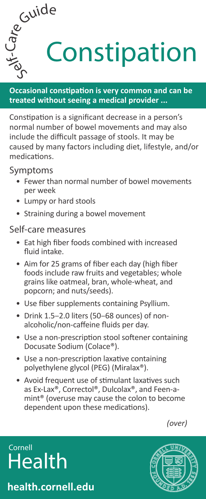

**Occasional constipation is very common and can be treated without seeing a medical provider ...**

Constipation is a significant decrease in a person's normal number of bowel movements and may also include the difficult passage of stools. It may be caused by many factors including diet, lifestyle, and/or medications.

## Symptoms

- Fewer than normal number of bowel movements per week
- Lumpy or hard stools
- Straining during a bowel movement

## Self-care measures

- Eat high fiber foods combined with increased fluid intake.
- Aim for 25 grams of fiber each day (high fiber foods include raw fruits and vegetables; whole grains like oatmeal, bran, whole-wheat, and popcorn; and nuts/seeds).
- Use fiber supplements containing Psyllium.
- Drink 1.5–2.0 liters (50–68 ounces) of nonalcoholic/non-caffeine fluids per day.
- Use a non-prescription stool softener containing Docusate Sodium (Colace®).
- Use a non-prescription laxative containing polyethylene glycol (PEG) (Miralax®).
- Avoid frequent use of stimulant laxatives such as Ex-Lax®, Correctol®, Dulcolax®, and Feen-amint® (overuse may cause the colon to become dependent upon these medications).

*(over)*

Cornell **Health health.cornell.edu**